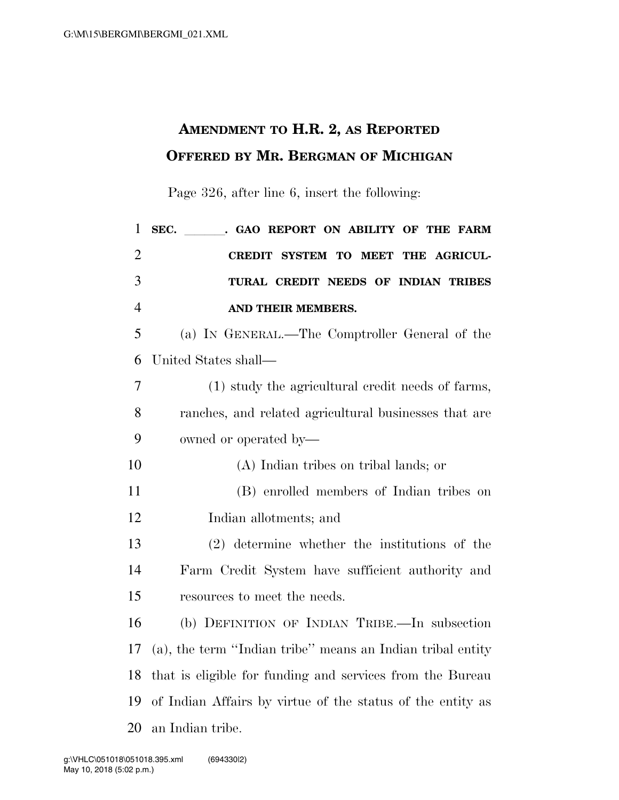## **AMENDMENT TO H.R. 2, AS REPORTED OFFERED BY MR. BERGMAN OF MICHIGAN**

Page 326, after line 6, insert the following:

| $\mathbf{1}$   | . GAO REPORT ON ABILITY OF THE FARM<br>SEC.                |
|----------------|------------------------------------------------------------|
| $\overline{2}$ | SYSTEM TO MEET THE AGRICUL-<br><b>CREDIT</b>               |
| 3              | TURAL CREDIT NEEDS OF INDIAN TRIBES                        |
| $\overline{4}$ | AND THEIR MEMBERS.                                         |
| 5              | (a) IN GENERAL.—The Comptroller General of the             |
| 6              | United States shall—                                       |
| 7              | (1) study the agricultural credit needs of farms,          |
| 8              | ranches, and related agricultural businesses that are      |
| 9              | owned or operated by—                                      |
| 10             | (A) Indian tribes on tribal lands; or                      |
| 11             | (B) enrolled members of Indian tribes on                   |
| 12             | Indian allotments; and                                     |
| 13             | $(2)$ determine whether the institutions of the            |
| 14             | Farm Credit System have sufficient authority and           |
| 15             | resources to meet the needs.                               |
| 16             | (b) DEFINITION OF INDIAN TRIBE.—In subsection              |
| 17             | (a), the term "Indian tribe" means an Indian tribal entity |
| 18             | that is eligible for funding and services from the Bureau  |
| 19             | of Indian Affairs by virtue of the status of the entity as |
| 20             | an Indian tribe.                                           |